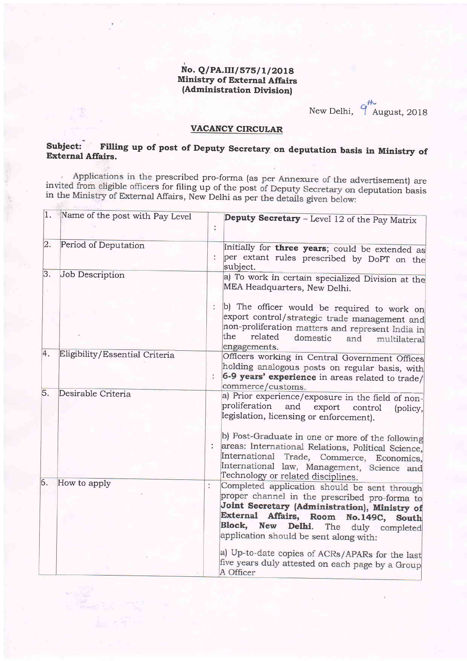## No. Q/PA.III/575/1/2018 Ministry of External Affairs (Administration Division)

New Delhi,  $q^{\#}$ August, 2018

## VACANCY CIRCULAR

# Subject: Filling up of post of Deputy Secretary on deputation basis in Ministry of External Affairs.

Applications in the prescribed pro-forma (as per Annexure of the advertisement) are invited from eligible officers for filing up of the post of Deputy Secretary on deputation basis in the Ministry of External Affairs, New

|          | 1. Name of the post with Pay Level |                      | Deputy Secretary - Level 12 of the Pay Matrix                                                                                                                                                                                                                                   |
|----------|------------------------------------|----------------------|---------------------------------------------------------------------------------------------------------------------------------------------------------------------------------------------------------------------------------------------------------------------------------|
| 2.       | Period of Deputation               |                      | Initially for three years; could be extended as<br>per extant rules prescribed by DoPT on the<br>subject.                                                                                                                                                                       |
| 3.<br>×. | Job Description                    |                      | a) To work in certain specialized Division at the<br>MEA Headquarters, New Delhi.                                                                                                                                                                                               |
|          |                                    | $\ddot{\phantom{a}}$ | b) The officer would be required to work on<br>export control/strategic trade management and<br>non-proliferation matters and represent India in<br>the<br>related<br>domestic<br>and<br>multilateral<br>engagements.                                                           |
| 4.       | Eligibility/Essential Criteria     |                      | Officers working in Central Government Offices<br>holding analogous posts on regular basis, with<br>6-9 years' experience in areas related to trade/<br>commerce/customs.                                                                                                       |
| 5.       | Desirable Criteria                 |                      | a) Prior experience/exposure in the field of non-<br>proliferation<br>and<br>export<br>control<br>(policy,<br>legislation, licensing or enforcement).                                                                                                                           |
|          |                                    |                      | b) Post-Graduate in one or more of the following<br>areas: International Relations, Political Science,<br>International Trade, Commerce, Economics,<br>International law, Management, Science and<br>Technology or related disciplines.                                         |
| 6.       | How to apply                       |                      | Completed application should be sent through<br>proper channel in the prescribed pro-forma to<br>Joint Secretary (Administration), Ministry of<br>External Affairs, Room No.149C, South<br>Block,<br>New Delhi.<br>The duly completed<br>application should be sent along with: |
|          |                                    |                      | a) Up-to-date copies of ACRs/APARs for the last<br>five years duly attested on each page by a Group<br>A Officer                                                                                                                                                                |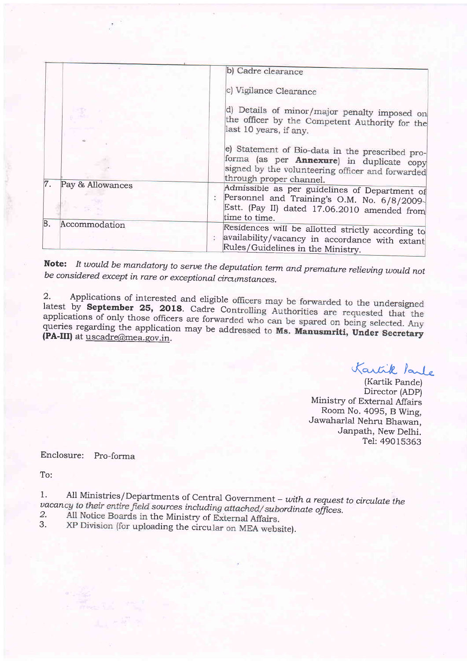|                        | b) Cadre clearance                                                                                                                                                                  |
|------------------------|-------------------------------------------------------------------------------------------------------------------------------------------------------------------------------------|
|                        | c) Vigilance Clearance                                                                                                                                                              |
|                        | d) Details of minor/major penalty imposed on<br>the officer by the Competent Authority for the<br>last 10 years, if any.                                                            |
|                        | e) Statement of Bio-data in the prescribed pro-<br>forma (as per <b>Annexure</b> ) in duplicate copy<br>signed by the volunteering officer and forwarded<br>through proper channel. |
| 7.<br>Pay & Allowances | Admissible as per guidelines of Department of<br>Personnel and Training's O.M. No. 6/8/2009-<br>Estt. (Pay II) dated 17.06.2010 amended from<br>time to time.                       |
| 8.<br>Accommodation    | Residences will be allotted strictly according to<br>availability/vacancy in accordance with extant<br>Rules/Guidelines in the Ministry.                                            |

Note: It would be mandatory to serve the deputation term and premature relieving would not be considered except in rare or exceptional circumstances.

Applications of interested and eligible officers may be forwarded to the undersigned  $\overline{2}$ . latest by September 25, 2018. Cadre Controlling Authorities are requested that the applications of only those officers are forwarded who can be spared on being selected. Any queries regarding the application may be addressed to Ms. Manusmriti, Under Secretary (PA-III) at uscadre@mea.gov.in.

Kartik Parle

(Kartik Pande) Director (ADP) Ministry of External Affairs Room No. 4095, B Wing, Jawaharlal Nehru Bhawan, Janpath, New Delhi. Tel: 49015363

Enclosure: Pro-forma

To:

All Ministries/Departments of Central Government - with a request to circulate the 1. vacancy to their entire field sources including attached/subordinate offices.

- All Notice Boards in the Ministry of External Affairs. 2.
- XP Division (for uploading the circular on MEA website). 3.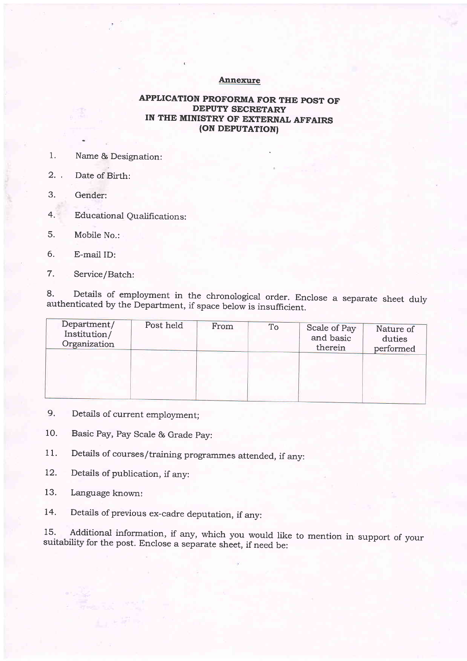#### Annexure

### APPLICATION PROFORMA FOR THE POST OF DEPUTY SECRETARY IN THE MINISTRY OF EXTERNAL AFFAIRS (ON DEPUTATION)

- 1. Name & Designation:
- 2. , Date of Birth:
- 3. Gender:
- 4. Educational Qualifications:
- 5. Mobile No.:
- 6. E-mail ID:
- 7. Service/Batch:

8' Details of employment in the chronological order. Enclose a separate sheet duly authenticated by the Department, if space below is insufficient.

| Department/<br>Institution/<br>Organization | Post held | From | To | Scale of Pay<br>and basic<br>therein | Nature of<br>duties<br>performed |
|---------------------------------------------|-----------|------|----|--------------------------------------|----------------------------------|
|                                             |           |      |    |                                      |                                  |

- 9. Details of current employment;
- 10. Basic Pay, Pay Scale & Grade pay:
- 11. Details of courses/training programmes attended, if any:
- 12. Details of publication, if any:
- 13. Language known:
- 14. Details of previous ex-cadre deputation, if any:

15' Additional information, if any, which you would like to mention in support of your suitability for the post. Enclose a separate sheet, if need be: